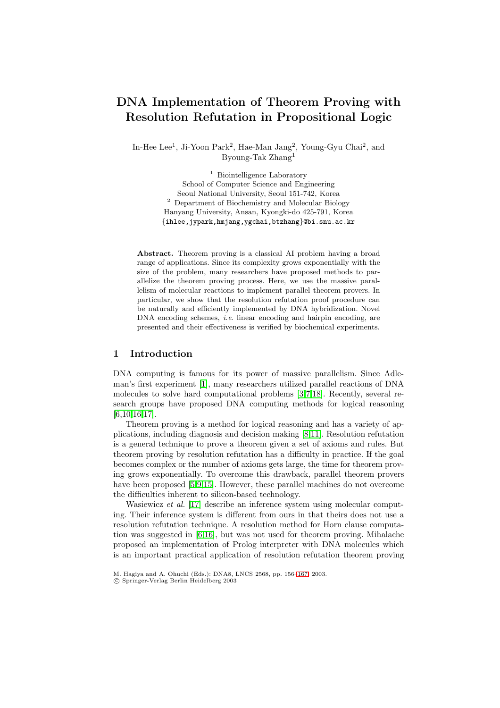# **DNA Implementation of Theorem Proving with Resolution Refutation in Propositional Logic**

In-Hee Lee1, Ji-Yoon Park2, Hae-Man Jang2, Young-Gyu Chai2, and Byoung-Tak Zhang<sup>1</sup>

> <sup>1</sup> Biointelligence Laboratory School of Computer Science and Engineering Seoul National University, Seoul 151-742, Korea <sup>2</sup> Department of Biochemistry and Molecular Biology Hanyang University, Ansan, Kyongki-do 425-791, Korea {ihlee,jypark,hmjang,ygchai,btzhang}@bi.snu.ac.kr

**Abstract.** Theorem proving is a classical AI problem having a broad range of applications. Since its complexity grows exponentially with the size of the problem, many researchers have proposed methods to parallelize the theorem proving process. Here, we use the massive parallelism of molecular reactions to implement parallel theorem provers. In particular, we show that the resolution refutation proof procedure can be naturally and efficiently implemented by DNA hybridization. Novel DNA encoding schemes, *i.e.* linear encoding and hairpin encoding, are presented and their effectiveness is verified by biochemical experiments.

## **1 Introduction**

DNA computing is famous for its power of massive parallelism. Since Adleman's first experiment [\[1\]](#page-11-0), many researchers utilized parallel reactions of DNA molecules to solve hard computational problems [\[3](#page-11-1)[,7,](#page-11-2)[18\]](#page-11-3). Recently, several research groups have proposed DNA computing methods for logical reasoning  $[6,10,16,17]$  $[6,10,16,17]$  $[6,10,16,17]$  $[6,10,16,17]$ .

Theorem proving is a method for logical reasoning and has a variety of applications, including diagnosis and decision making [\[8,](#page-11-8)[11\]](#page-11-9). Resolution refutation is a general technique to prove a theorem given a set of axioms and rules. But theorem proving by resolution refutation has a difficulty in practice. If the goal becomes complex or the number of axioms gets large, the time for theorem proving grows exponentially. To overcome this drawback, parallel theorem provers have been proposed [\[5,](#page-11-10)[9,](#page-11-11)[15\]](#page-11-12). However, these parallel machines do not overcome the difficulties inherent to silicon-based technology.

Wasiewicz *et al.* [\[17\]](#page-11-7) describe an inference system using molecular computing. Their inference system is different from ours in that theirs does not use a resolution refutation technique. A resolution method for Horn clause computation was suggested in [\[6,](#page-11-4)[16\]](#page-11-6), but was not used for theorem proving. Mihalache proposed an implementation of Prolog interpreter with DNA molecules which is an important practical application of resolution refutation theorem proving

M. Hagiya and A. Ohuchi (Eds.): DNA8, LNCS 2568, pp. 156[–167,](#page-11-13) 2003.

c Springer-Verlag Berlin Heidelberg 2003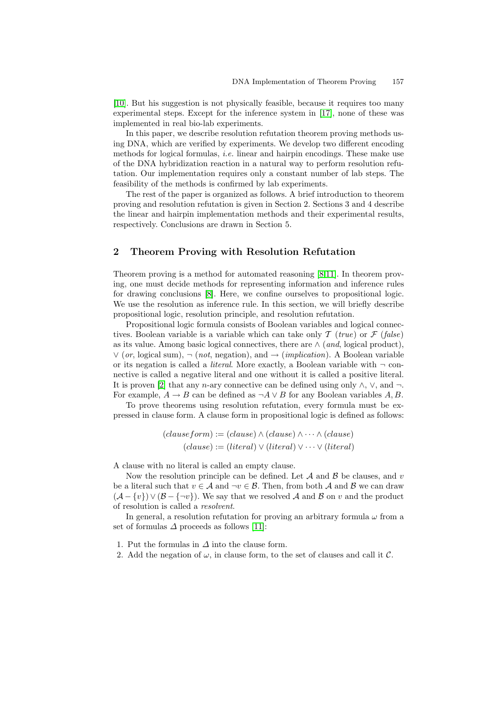[\[10\]](#page-11-5). But his suggestion is not physically feasible, because it requires too many experimental steps. Except for the inference system in [\[17\]](#page-11-7), none of these was implemented in real bio-lab experiments.

In this paper, we describe resolution refutation theorem proving methods using DNA, which are verified by experiments. We develop two different encoding methods for logical formulas, *i.e.* linear and hairpin encodings. These make use of the DNA hybridization reaction in a natural way to perform resolution refutation. Our implementation requires only a constant number of lab steps. The feasibility of the methods is confirmed by lab experiments.

The rest of the paper is organized as follows. A brief introduction to theorem proving and resolution refutation is given in Section 2. Sections 3 and 4 describe the linear and hairpin implementation methods and their experimental results, respectively. Conclusions are drawn in Section 5.

## **2 Theorem Proving with Resolution Refutation**

Theorem proving is a method for automated reasoning [\[8,](#page-11-8)[11\]](#page-11-9). In theorem proving, one must decide methods for representing information and inference rules for drawing conclusions [\[8\]](#page-11-8). Here, we confine ourselves to propositional logic. We use the resolution as inference rule. In this section, we will briefly describe propositional logic, resolution principle, and resolution refutation.

Propositional logic formula consists of Boolean variables and logical connectives. Boolean variable is a variable which can take only T (*true*) or F (*false*) as its value. Among basic logical connectives, there are ∧ (*and*, logical product), ∨ (*or*, logical sum), ¬ (*not*, negation), and → (*implication*). A Boolean variable or its negation is called a *literal*. More exactly, a Boolean variable with  $\neg$  connective is called a negative literal and one without it is called a positive literal. It is proven [\[2\]](#page-11-14) that any n-ary connective can be defined using only  $\wedge$ ,  $\vee$ , and  $\neg$ . For example,  $A \to B$  can be defined as  $\neg A \lor B$  for any Boolean variables A, B.

To prove theorems using resolution refutation, every formula must be expressed in clause form. A clause form in propositional logic is defined as follows:

$$
(clauseform) := (clause) \land (clause) \land \cdots \land (clause)
$$

$$
(clause) := (literal) \lor (literal) \lor \cdots \lor (literal)
$$

A clause with no literal is called an empty clause.

Now the resolution principle can be defined. Let  $A$  and  $B$  be clauses, and v be a literal such that  $v \in \mathcal{A}$  and  $\neg v \in \mathcal{B}$ . Then, from both  $\mathcal{A}$  and  $\mathcal{B}$  we can draw  $(\mathcal{A}-\{v\})\vee(\mathcal{B}-\{\neg v\})$ . We say that we resolved A and B on v and the product of resolution is called a *resolvent*.

In general, a resolution refutation for proving an arbitrary formula  $\omega$  from a set of formulas  $\Delta$  proceeds as follows [\[11\]](#page-11-9):

- 1. Put the formulas in  $\Delta$  into the clause form.
- 2. Add the negation of  $\omega$ , in clause form, to the set of clauses and call it  $\mathcal{C}$ .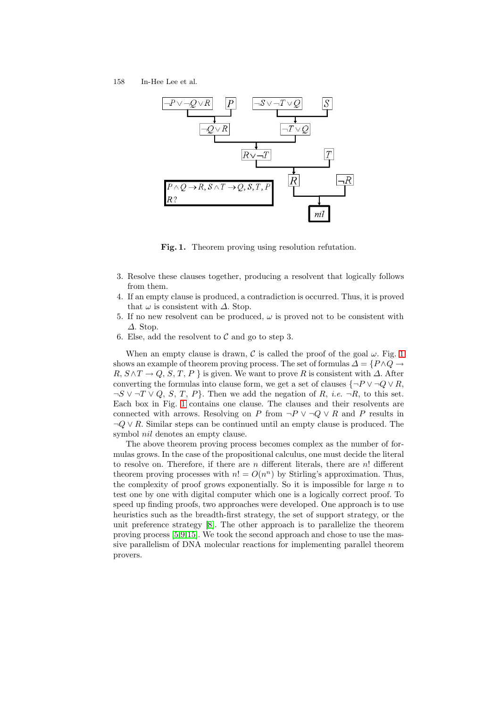

Fig. 1. Theorem proving using resolution refutation.

- <span id="page-2-0"></span>3. Resolve these clauses together, producing a resolvent that logically follows from them.
- 4. If an empty clause is produced, a contradiction is occurred. Thus, it is proved that  $\omega$  is consistent with  $\Delta$ . Stop.
- 5. If no new resolvent can be produced,  $\omega$  is proved not to be consistent with  $\Delta$ . Stop.
- 6. Else, add the resolvent to  $\mathcal C$  and go to step 3.

When an empty clause is drawn, C is called the proof of the goal  $\omega$ . Fig. [1](#page-2-0) shows an example of theorem proving process. The set of formulas  $\Delta = \{P \land Q \rightarrow$  $R, S \land T \to Q, S, T, P$  } is given. We want to prove R is consistent with  $\Delta$ . After converting the formulas into clause form, we get a set of clauses  $\{\neg P \lor \neg Q \lor R,$  $\neg S \lor \neg T \lor Q$ , S, T, P}. Then we add the negation of R, *i.e.*  $\neg R$ , to this set. Each box in Fig. [1](#page-2-0) contains one clause. The clauses and their resolvents are connected with arrows. Resolving on P from  $\neg P \lor \neg Q \lor R$  and P results in  $\neg Q \lor R$ . Similar steps can be continued until an empty clause is produced. The symbol *nil* denotes an empty clause.

The above theorem proving process becomes complex as the number of formulas grows. In the case of the propositional calculus, one must decide the literal to resolve on. Therefore, if there are  $n$  different literals, there are  $n!$  different theorem proving processes with  $n! = O(n^n)$  by Stirling's approximation. Thus, the complexity of proof grows exponentially. So it is impossible for large  $n$  to test one by one with digital computer which one is a logically correct proof. To speed up finding proofs, two approaches were developed. One approach is to use heuristics such as the breadth-first strategy, the set of support strategy, or the unit preference strategy [\[8\]](#page-11-8). The other approach is to parallelize the theorem proving process [\[5](#page-11-10)[,9,](#page-11-11)[15\]](#page-11-12). We took the second approach and chose to use the massive parallelism of DNA molecular reactions for implementing parallel theorem provers.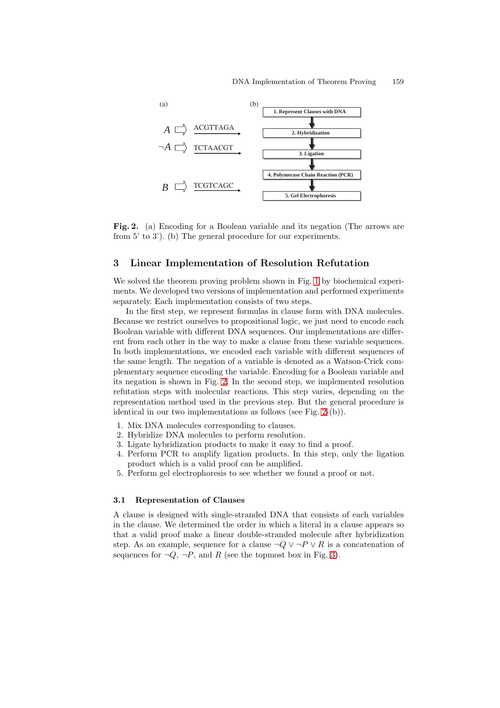

<span id="page-3-0"></span>**Fig. 2.** (a) Encoding for a Boolean variable and its negation (The arrows are from 5' to 3'). (b) The general procedure for our experiments.

## **3 Linear Implementation of Resolution Refutation**

We solved the theorem proving problem shown in Fig. [1](#page-2-0) by biochemical experiments. We developed two versions of implementation and performed experiments separately. Each implementation consists of two steps.

In the first step, we represent formulas in clause form with DNA molecules. Because we restrict ourselves to propositional logic, we just need to encode each Boolean variable with different DNA sequences. Our implementations are different from each other in the way to make a clause from these variable sequences. In both implementations, we encoded each variable with different sequences of the same length. The negation of a variable is denoted as a Watson-Crick complementary sequence encoding the variable. Encoding for a Boolean variable and its negation is shown in Fig. [2.](#page-3-0) In the second step, we implemented resolution refutation steps with molecular reactions. This step varies, depending on the representation method used in the previous step. But the general procedure is identical in our two implementations as follows (see Fig. [2-](#page-3-0)(b)).

- 1. Mix DNA molecules corresponding to clauses.
- 2. Hybridize DNA molecules to perform resolution.
- 3. Ligate hybridization products to make it easy to find a proof.
- 4. Perform PCR to amplify ligation products. In this step, only the ligation product which is a valid proof can be amplified.
- 5. Perform gel electrophoresis to see whether we found a proof or not.

### **3.1 Representation of Clauses**

A clause is designed with single-stranded DNA that consists of each variables in the clause. We determined the order in which a literal in a clause appears so that a valid proof make a linear double-stranded molecule after hybridization step. As an example, sequence for a clause  $\neg Q \lor \neg P \lor R$  is a concatenation of sequences for  $\neg Q$ ,  $\neg P$ , and R (see the topmost box in Fig. [3\)](#page-4-0).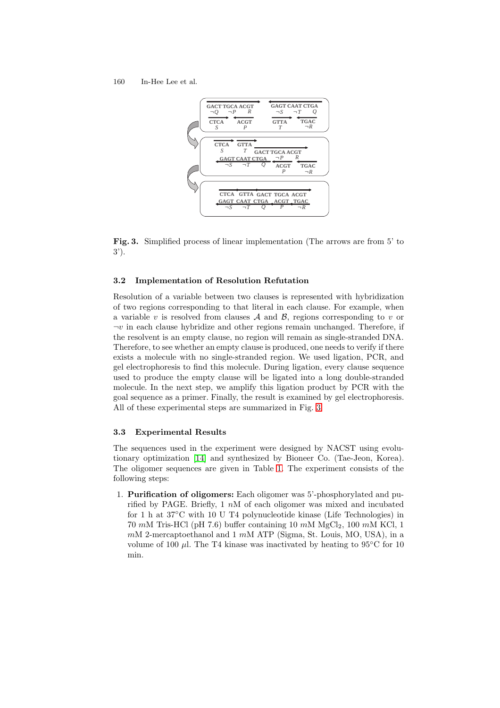

<span id="page-4-0"></span>**Fig. 3.** Simplified process of linear implementation (The arrows are from 5' to 3').

## **3.2 Implementation of Resolution Refutation**

Resolution of a variable between two clauses is represented with hybridization of two regions corresponding to that literal in each clause. For example, when a variable v is resolved from clauses  $A$  and  $B$ , regions corresponding to v or  $\neg v$  in each clause hybridize and other regions remain unchanged. Therefore, if the resolvent is an empty clause, no region will remain as single-stranded DNA. Therefore, to see whether an empty clause is produced, one needs to verify if there exists a molecule with no single-stranded region. We used ligation, PCR, and gel electrophoresis to find this molecule. During ligation, every clause sequence used to produce the empty clause will be ligated into a long double-stranded molecule. In the next step, we amplify this ligation product by PCR with the goal sequence as a primer. Finally, the result is examined by gel electrophoresis. All of these experimental steps are summarized in Fig. [3.](#page-4-0)

## **3.3 Experimental Results**

The sequences used in the experiment were designed by NACST using evolutionary optimization [\[14\]](#page-11-15) and synthesized by Bioneer Co. (Tae-Jeon, Korea). The oligomer sequences are given in Table [1.](#page-5-0) The experiment consists of the following steps:

1. **Purification of oligomers:** Each oligomer was 5'-phosphorylated and purified by PAGE. Briefly, 1 nM of each oligomer was mixed and incubated for 1 h at 37◦C with 10 U T4 polynucleotide kinase (Life Technologies) in 70 mM Tris-HCl (pH 7.6) buffer containing 10 mM  $MgCl<sub>2</sub>$ , 100 mM KCl, 1  $mM$  2-mercaptoethanol and 1  $mM$  ATP (Sigma, St. Louis, MO, USA), in a volume of 100  $\mu$ . The T4 kinase was inactivated by heating to 95<sup>°</sup>C for 10 min.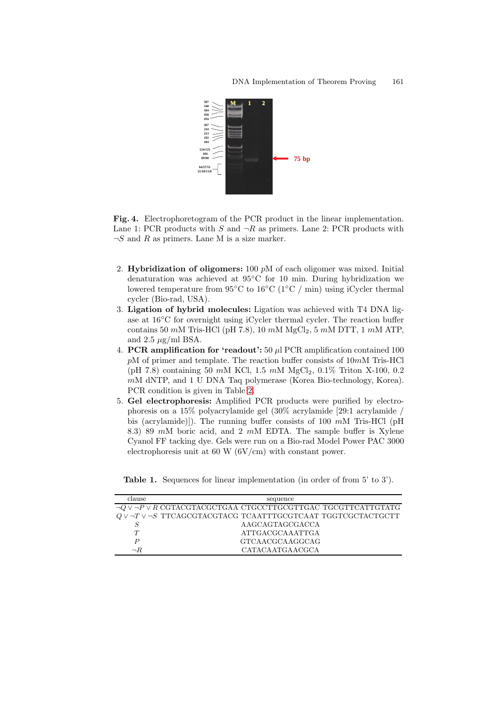

<span id="page-5-1"></span>**Fig. 4.** Electrophoretogram of the PCR product in the linear implementation. Lane 1: PCR products with  $S$  and  $\neg R$  as primers. Lane 2: PCR products with  $\neg S$  and R as primers. Lane M is a size marker.

- 2. **Hybridization of oligomers:** 100 pM of each oligomer was mixed. Initial denaturation was achieved at 95◦C for 10 min. During hybridization we lowered temperature from 95◦C to 16◦C (1◦C / min) using iCycler thermal cycler (Bio-rad, USA).
- 3. **Ligation of hybrid molecules:** Ligation was achieved with T4 DNA ligase at 16◦C for overnight using iCycler thermal cycler. The reaction buffer contains 50 mM Tris-HCl (pH 7.8), 10 mM MgCl<sub>2</sub>, 5 mM DTT, 1 mM ATP, and 2.5  $\mu$ g/ml BSA.
- 4. **PCR amplification for 'readout':** 50 µl PCR amplification contained 100  $pM$  of primer and template. The reaction buffer consists of  $10mM$  Tris-HCl (pH 7.8) containing 50 mM KCl, 1.5 mM  $MgCl<sub>2</sub>$ , 0.1% Triton X-100, 0.2 mM dNTP, and 1 U DNA Taq polymerase (Korea Bio-technology, Korea). PCR condition is given in Table [2.](#page-6-0)
- 5. **Gel electrophoresis:** Amplified PCR products were purified by electrophoresis on a 15% polyacrylamide gel  $(30\% \text{ acrylamide } [29:1 \text{ acrylamide } /$ bis (acrylamide)]). The running buffer consists of  $100$  mM Tris-HCl (pH 8.3) 89 mM boric acid, and 2 mM EDTA. The sample buffer is Xylene Cyanol FF tacking dye. Gels were run on a Bio-rad Model Power PAC 3000 electrophoresis unit at 60 W  $(6V/cm)$  with constant power.

**Table 1.** Sequences for linear implementation (in order of from 5' to 3').

<span id="page-5-0"></span>

| clause   | sequence                                                                    |
|----------|-----------------------------------------------------------------------------|
|          | $\neg Q \lor \neg P \lor R$ CGTACGTACGCTGAA CTGCCTTGCGTTGAC TGCGTTCATTGTATG |
|          | $Q \vee \neg T \vee \neg S$ TTCAGCGTACGTACG TCAATTTGCGTCAAT TGGTCGCTACTGCTT |
|          | AAGCAGTAGCGACCA                                                             |
| T        | ATTGACGCAAATTGA                                                             |
|          | GTCAACGCAAGGCAG                                                             |
| $\neg R$ | CATACAATGAACGCA                                                             |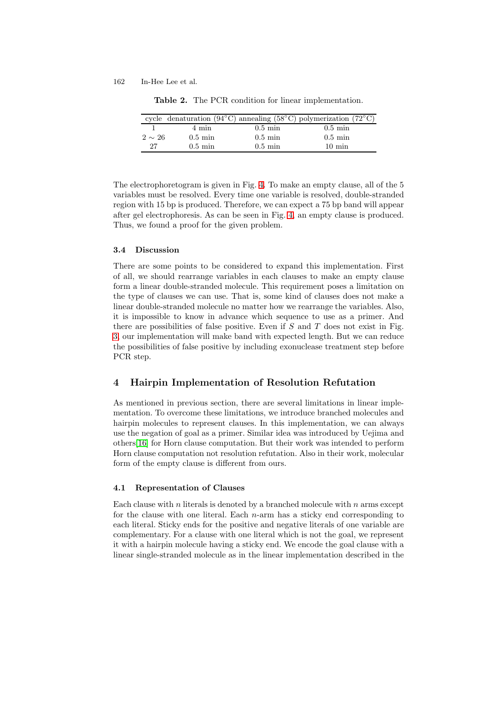<span id="page-6-0"></span>

|             |                   |                   | cycle denaturation (94 $^{\circ}$ C) annealing (58 $^{\circ}$ C) polymerization (72 $^{\circ}$ C) |
|-------------|-------------------|-------------------|---------------------------------------------------------------------------------------------------|
|             | 4 min             | $0.5 \text{ min}$ | $0.5 \text{ min}$                                                                                 |
| $2 \sim 26$ | $0.5 \text{ min}$ | $0.5 \text{ min}$ | $0.5 \text{ min}$                                                                                 |
| 27          | $0.5 \text{ min}$ | $0.5 \text{ min}$ | $10 \text{ min}$                                                                                  |

**Table 2.** The PCR condition for linear implementation.

The electrophoretogram is given in Fig. [4.](#page-5-1) To make an empty clause, all of the 5 variables must be resolved. Every time one variable is resolved, double-stranded region with 15 bp is produced. Therefore, we can expect a 75 bp band will appear after gel electrophoresis. As can be seen in Fig. [4,](#page-5-1) an empty clause is produced. Thus, we found a proof for the given problem.

## **3.4 Discussion**

There are some points to be considered to expand this implementation. First of all, we should rearrange variables in each clauses to make an empty clause form a linear double-stranded molecule. This requirement poses a limitation on the type of clauses we can use. That is, some kind of clauses does not make a linear double-stranded molecule no matter how we rearrange the variables. Also, it is impossible to know in advance which sequence to use as a primer. And there are possibilities of false positive. Even if  $S$  and  $T$  does not exist in Fig. [3,](#page-4-0) our implementation will make band with expected length. But we can reduce the possibilities of false positive by including exonuclease treatment step before PCR step.

## **4 Hairpin Implementation of Resolution Refutation**

As mentioned in previous section, there are several limitations in linear implementation. To overcome these limitations, we introduce branched molecules and hairpin molecules to represent clauses. In this implementation, we can always use the negation of goal as a primer. Similar idea was introduced by Uejima and others[\[16\]](#page-11-6) for Horn clause computation. But their work was intended to perform Horn clause computation not resolution refutation. Also in their work, molecular form of the empty clause is different from ours.

## **4.1 Representation of Clauses**

Each clause with n literals is denoted by a branched molecule with  $n$  arms except for the clause with one literal. Each n-arm has a sticky end corresponding to each literal. Sticky ends for the positive and negative literals of one variable are complementary. For a clause with one literal which is not the goal, we represent it with a hairpin molecule having a sticky end. We encode the goal clause with a linear single-stranded molecule as in the linear implementation described in the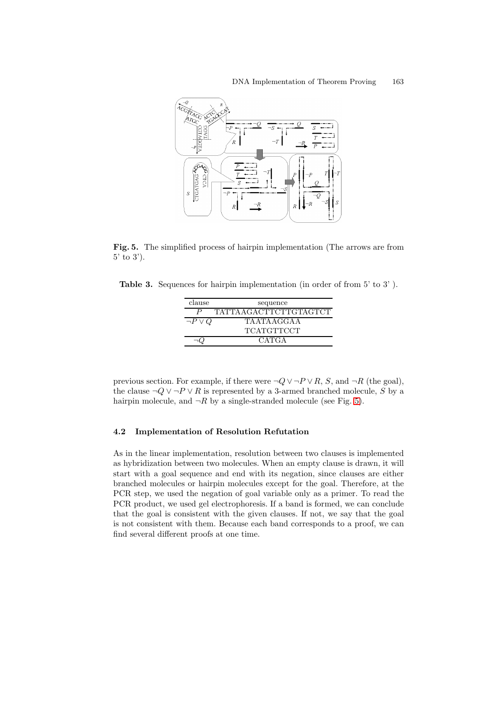

<span id="page-7-0"></span>**Fig. 5.** The simplified process of hairpin implementation (The arrows are from  $5'$  to  $3'$ ).

<span id="page-7-1"></span>**Table 3.** Sequences for hairpin implementation (in order of from 5' to 3').

| clause          | sequence                     |
|-----------------|------------------------------|
|                 | <b>TATTAAGACTTCTTGTAGTCT</b> |
| $\neg P \vee Q$ | TAATAAGGAA                   |
|                 | <b>TCATGTTCCT</b>            |
|                 | <b>CATGA</b>                 |

previous section. For example, if there were  $\neg Q \lor \neg P \lor R$ , S, and  $\neg R$  (the goal), the clause  $\neg Q \lor \neg P \lor R$  is represented by a 3-armed branched molecule, S by a hairpin molecule, and  $\neg R$  by a single-stranded molecule (see Fig. [5\)](#page-7-0).

### **4.2 Implementation of Resolution Refutation**

As in the linear implementation, resolution between two clauses is implemented as hybridization between two molecules. When an empty clause is drawn, it will start with a goal sequence and end with its negation, since clauses are either branched molecules or hairpin molecules except for the goal. Therefore, at the PCR step, we used the negation of goal variable only as a primer. To read the PCR product, we used gel electrophoresis. If a band is formed, we can conclude that the goal is consistent with the given clauses. If not, we say that the goal is not consistent with them. Because each band corresponds to a proof, we can find several different proofs at one time.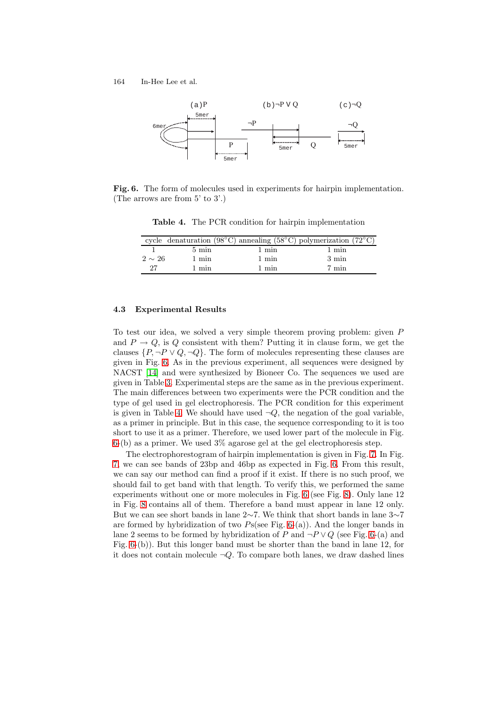

<span id="page-8-0"></span>**Fig. 6.** The form of molecules used in experiments for hairpin implementation. (The arrows are from 5' to 3'.)

**Table 4.** The PCR condition for hairpin implementation

<span id="page-8-1"></span>

|             |                 |       | cycle denaturation (98 <sup>o</sup> C) annealing (58 <sup>o</sup> C) polymerization (72 <sup>o</sup> C) |
|-------------|-----------------|-------|---------------------------------------------------------------------------------------------------------|
|             | $5 \text{ min}$ | 1 min | 1 min                                                                                                   |
| $2 \sim 26$ | $1 \text{ min}$ | 1 min | 3 min                                                                                                   |
| 27          | 1 min           | 1 min | $7 \text{ min}$                                                                                         |

#### **4.3 Experimental Results**

To test our idea, we solved a very simple theorem proving problem: given P and  $P \to Q$ , is Q consistent with them? Putting it in clause form, we get the clauses  $\{P, \neg P \lor Q, \neg Q\}$ . The form of molecules representing these clauses are given in Fig. [6.](#page-8-0) As in the previous experiment, all sequences were designed by NACST [\[14\]](#page-11-15) and were synthesized by Bioneer Co. The sequences we used are given in Table [3.](#page-7-1) Experimental steps are the same as in the previous experiment. The main differences between two experiments were the PCR condition and the type of gel used in gel electrophoresis. The PCR condition for this experiment is given in Table [4.](#page-8-1) We should have used  $\neg Q$ , the negation of the goal variable, as a primer in principle. But in this case, the sequence corresponding to it is too short to use it as a primer. Therefore, we used lower part of the molecule in Fig. [6-](#page-8-0)(b) as a primer. We used 3% agarose gel at the gel electrophoresis step.

The electrophorestogram of hairpin implementation is given in Fig. [7.](#page-9-0) In Fig. [7,](#page-9-0) we can see bands of 23bpand 46bpas expected in Fig. [6.](#page-8-0) From this result, we can say our method can find a proof if it exist. If there is no such proof, we should fail to get band with that length. To verify this, we performed the same experiments without one or more molecules in Fig. [6](#page-8-0) (see Fig. [8\)](#page-10-0). Only lane 12 in Fig. [8](#page-10-0) contains all of them. Therefore a band must appear in lane 12 only. But we can see short bands in lane 2∼7. We think that short bands in lane 3∼7 are formed by hybridization of two  $P<sub>S</sub>(see Fig. 6-(a))$  $P<sub>S</sub>(see Fig. 6-(a))$  $P<sub>S</sub>(see Fig. 6-(a))$ . And the longer bands in lane 2 seems to be formed by hybridization of P and  $\neg P \lor Q$  (see Fig. [6-](#page-8-0)(a) and Fig. [6-](#page-8-0)(b)). But this longer band must be shorter than the band in lane 12, for it does not contain molecule  $\neg Q$ . To compare both lanes, we draw dashed lines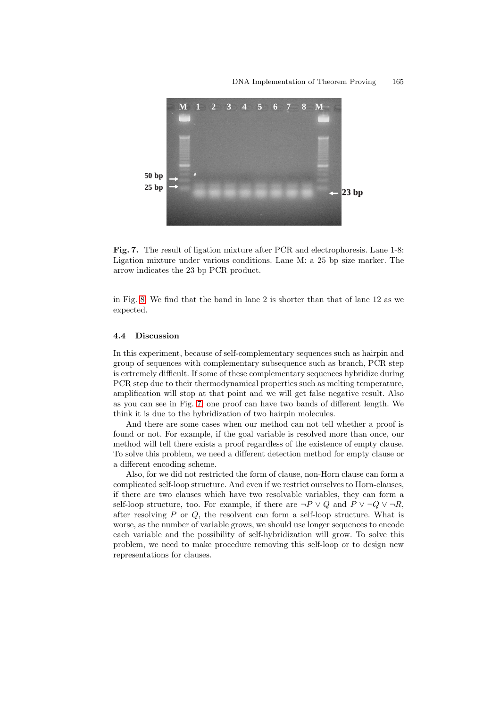

<span id="page-9-0"></span>**Fig. 7.** The result of ligation mixture after PCR and electrophoresis. Lane 1-8: Ligation mixture under various conditions. Lane  $M: a 25$  bp size marker. The arrow indicates the 23 bp PCR product.

in Fig. [8.](#page-10-0) We find that the band in lane 2 is shorter than that of lane 12 as we expected.

### **4.4 Discussion**

In this experiment, because of self-complementary sequences such as hairpin and group of sequences with complementary subsequence such as branch, PCR step is extremely difficult. If some of these complementary sequences hybridize during PCR step due to their thermodynamical properties such as melting temperature, amplification will stop at that point and we will get false negative result. Also as you can see in Fig. [7,](#page-9-0) one proof can have two bands of different length. We think it is due to the hybridization of two hairpin molecules.

And there are some cases when our method can not tell whether a proof is found or not. For example, if the goal variable is resolved more than once, our method will tell there exists a proof regardless of the existence of empty clause. To solve this problem, we need a different detection method for empty clause or a different encoding scheme.

Also, for we did not restricted the form of clause, non-Horn clause can form a complicated self-loop structure. And even if we restrict ourselves to Horn-clauses, if there are two clauses which have two resolvable variables, they can form a self-loop structure, too. For example, if there are  $\neg P \lor Q$  and  $P \lor \neg Q \lor \neg R$ , after resolving  $P$  or  $Q$ , the resolvent can form a self-loop structure. What is worse, as the number of variable grows, we should use longer sequences to encode each variable and the possibility of self-hybridization will grow. To solve this problem, we need to make procedure removing this self-loop or to design new representations for clauses.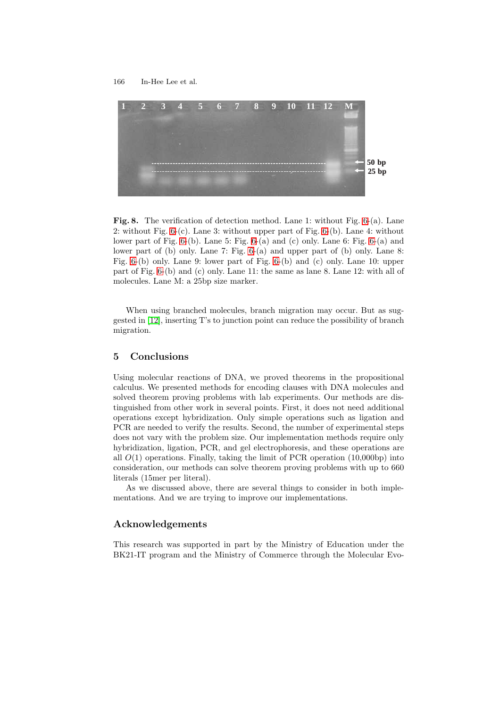

<span id="page-10-0"></span>**Fig. 8.** The verification of detection method. Lane 1: without Fig. [6-](#page-8-0)(a). Lane 2: without Fig. [6-](#page-8-0)(c). Lane 3: without upper part of Fig. [6-](#page-8-0)(b). Lane 4: without lower part of Fig. [6-](#page-8-0)(b). Lane 5: Fig. [6-](#page-8-0)(a) and (c) only. Lane 6: Fig. [6-](#page-8-0)(a) and lower part of (b) only. Lane 7: Fig.  $6-(a)$  and upper part of (b) only. Lane 8: Fig. [6-](#page-8-0)(b) only. Lane 9: lower part of Fig. [6-](#page-8-0)(b) and (c) only. Lane 10: upper part of Fig. [6-](#page-8-0)(b) and (c) only. Lane 11: the same as lane 8. Lane 12: with all of molecules. Lane M: a 25bp size marker.

When using branched molecules, branch migration may occur. But as suggested in [\[12\]](#page-11-16), inserting T's to junction point can reduce the possibility of branch migration.

## **5 Conclusions**

Using molecular reactions of DNA, we proved theorems in the propositional calculus. We presented methods for encoding clauses with DNA molecules and solved theorem proving problems with lab experiments. Our methods are distinguished from other work in several points. First, it does not need additional operations except hybridization. Only simple operations such as ligation and PCR are needed to verify the results. Second, the number of experimental steps does not vary with the problem size. Our implementation methods require only hybridization, ligation, PCR, and gel electrophoresis, and these operations are all  $O(1)$  operations. Finally, taking the limit of PCR operation  $(10,000bp)$  into consideration, our methods can solve theorem proving problems with up to 660 literals (15mer per literal).

As we discussed above, there are several things to consider in both implementations. And we are trying to improve our implementations.

## **Acknowledgements**

This research was supported in part by the Ministry of Education under the BK21-IT program and the Ministry of Commerce through the Molecular Evo